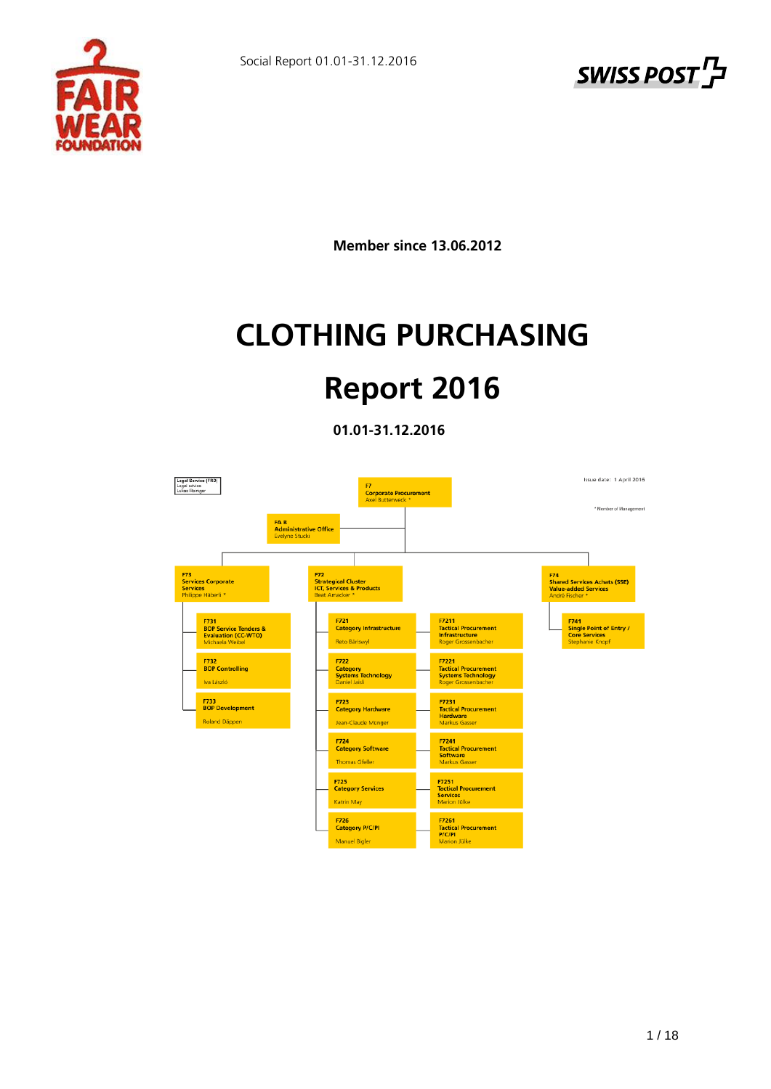



**Member since 13.06.2012**

# **CLOTHING PURCHASING**

# **Report 2016**

**01.01-31.12.2016** 

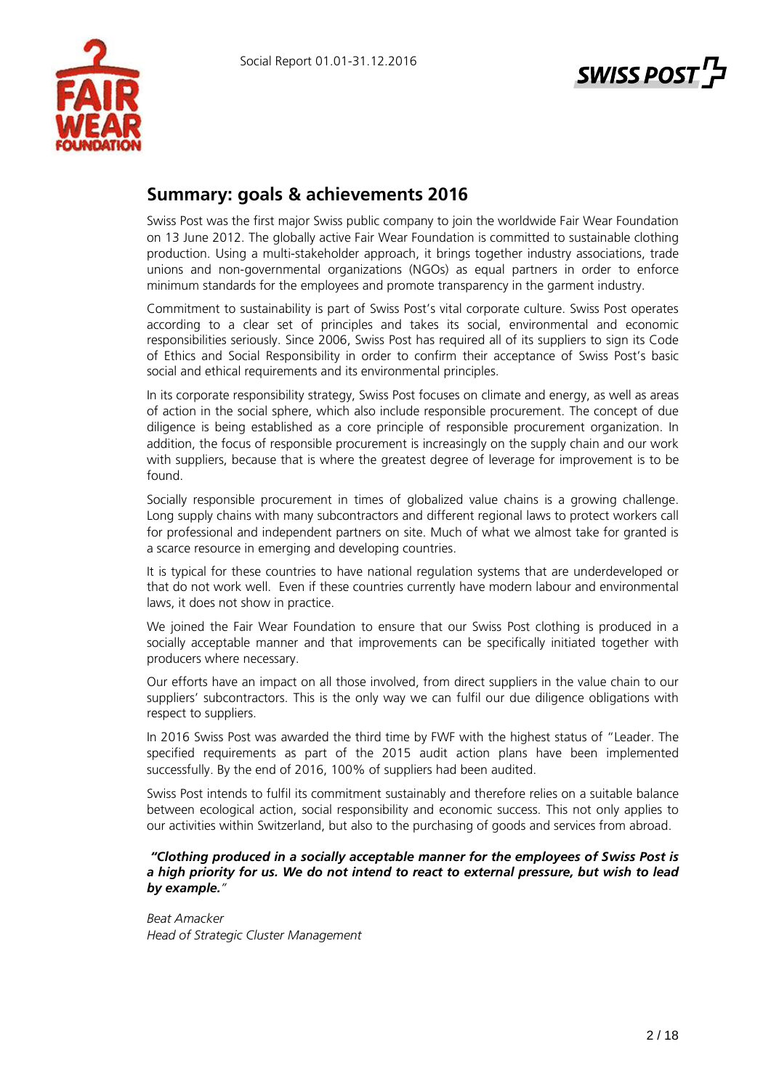



# **Summary: goals & achievements 2016**

Swiss Post was the first major Swiss public company to join the worldwide Fair Wear Foundation on 13 June 2012. The globally active Fair Wear Foundation is committed to sustainable clothing production. Using a multi-stakeholder approach, it brings together industry associations, trade unions and non-governmental organizations (NGOs) as equal partners in order to enforce minimum standards for the employees and promote transparency in the garment industry.

Commitment to sustainability is part of Swiss Post's vital corporate culture. Swiss Post operates according to a clear set of principles and takes its social, environmental and economic responsibilities seriously. Since 2006, Swiss Post has required all of its suppliers to sign its Code of Ethics and Social Responsibility in order to confirm their acceptance of Swiss Post's basic social and ethical requirements and its environmental principles.

In its corporate responsibility strategy, Swiss Post focuses on climate and energy, as well as areas of action in the social sphere, which also include responsible procurement. The concept of due diligence is being established as a core principle of responsible procurement organization. In addition, the focus of responsible procurement is increasingly on the supply chain and our work with suppliers, because that is where the greatest degree of leverage for improvement is to be found.

Socially responsible procurement in times of globalized value chains is a growing challenge. Long supply chains with many subcontractors and different regional laws to protect workers call for professional and independent partners on site. Much of what we almost take for granted is a scarce resource in emerging and developing countries.

It is typical for these countries to have national regulation systems that are underdeveloped or that do not work well. Even if these countries currently have modern labour and environmental laws, it does not show in practice.

We joined the Fair Wear Foundation to ensure that our Swiss Post clothing is produced in a socially acceptable manner and that improvements can be specifically initiated together with producers where necessary.

Our efforts have an impact on all those involved, from direct suppliers in the value chain to our suppliers' subcontractors. This is the only way we can fulfil our due diligence obligations with respect to suppliers.

In 2016 Swiss Post was awarded the third time by FWF with the highest status of "Leader. The specified requirements as part of the 2015 audit action plans have been implemented successfully. By the end of 2016, 100% of suppliers had been audited.

Swiss Post intends to fulfil its commitment sustainably and therefore relies on a suitable balance between ecological action, social responsibility and economic success. This not only applies to our activities within Switzerland, but also to the purchasing of goods and services from abroad.

#### *"Clothing produced in a socially acceptable manner for the employees of Swiss Post is a high priority for us. We do not intend to react to external pressure, but wish to lead by example."*

*Beat Amacker Head of Strategic Cluster Management*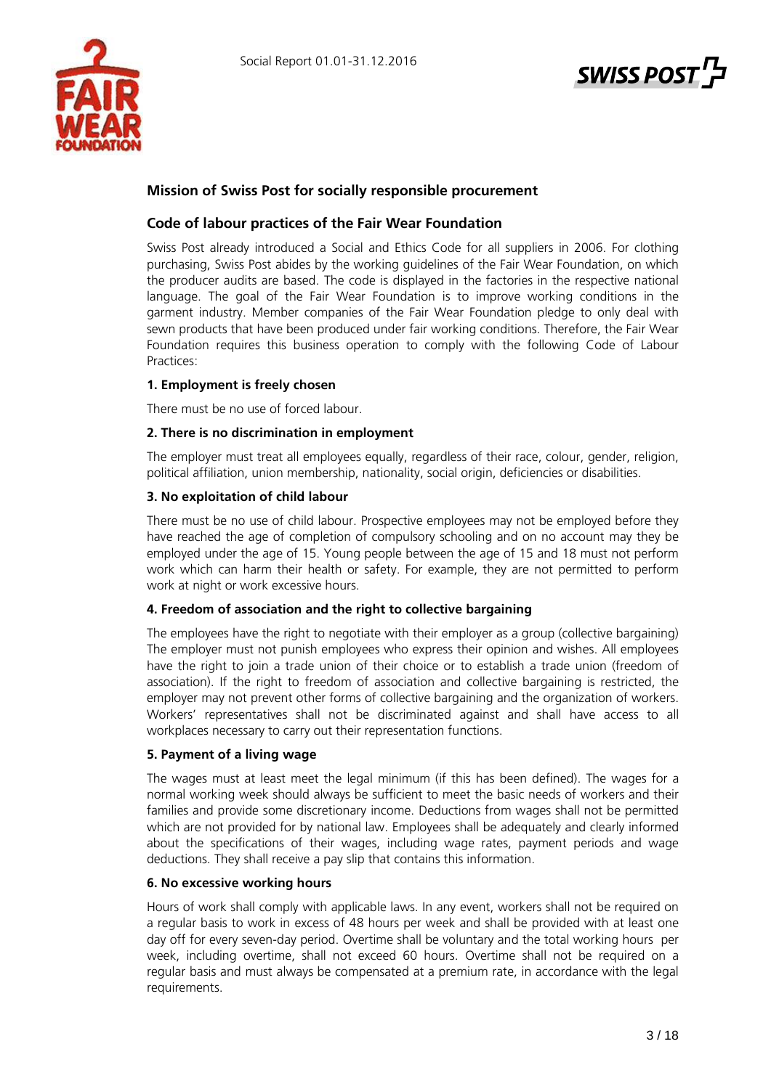



# **Mission of Swiss Post for socially responsible procurement**

# **Code of labour practices of the Fair Wear Foundation**

Swiss Post already introduced a Social and Ethics Code for all suppliers in 2006. For clothing purchasing, Swiss Post abides by the working guidelines of the Fair Wear Foundation, on which the producer audits are based. The code is displayed in the factories in the respective national language. The goal of the Fair Wear Foundation is to improve working conditions in the garment industry. Member companies of the Fair Wear Foundation pledge to only deal with sewn products that have been produced under fair working conditions. Therefore, the Fair Wear Foundation requires this business operation to comply with the following Code of Labour Practices:

# **1. Employment is freely chosen**

There must be no use of forced labour.

# **2. There is no discrimination in employment**

The employer must treat all employees equally, regardless of their race, colour, gender, religion, political affiliation, union membership, nationality, social origin, deficiencies or disabilities.

#### **3. No exploitation of child labour**

There must be no use of child labour. Prospective employees may not be employed before they have reached the age of completion of compulsory schooling and on no account may they be employed under the age of 15. Young people between the age of 15 and 18 must not perform work which can harm their health or safety. For example, they are not permitted to perform work at night or work excessive hours.

# **4. Freedom of association and the right to collective bargaining**

The employees have the right to negotiate with their employer as a group (collective bargaining) The employer must not punish employees who express their opinion and wishes. All employees have the right to join a trade union of their choice or to establish a trade union (freedom of association). If the right to freedom of association and collective bargaining is restricted, the employer may not prevent other forms of collective bargaining and the organization of workers. Workers' representatives shall not be discriminated against and shall have access to all workplaces necessary to carry out their representation functions.

# **5. Payment of a living wage**

The wages must at least meet the legal minimum (if this has been defined). The wages for a normal working week should always be sufficient to meet the basic needs of workers and their families and provide some discretionary income. Deductions from wages shall not be permitted which are not provided for by national law. Employees shall be adequately and clearly informed about the specifications of their wages, including wage rates, payment periods and wage deductions. They shall receive a pay slip that contains this information.

#### **6. No excessive working hours**

Hours of work shall comply with applicable laws. In any event, workers shall not be required on a regular basis to work in excess of 48 hours per week and shall be provided with at least one day off for every seven-day period. Overtime shall be voluntary and the total working hours per week, including overtime, shall not exceed 60 hours. Overtime shall not be required on a regular basis and must always be compensated at a premium rate, in accordance with the legal requirements.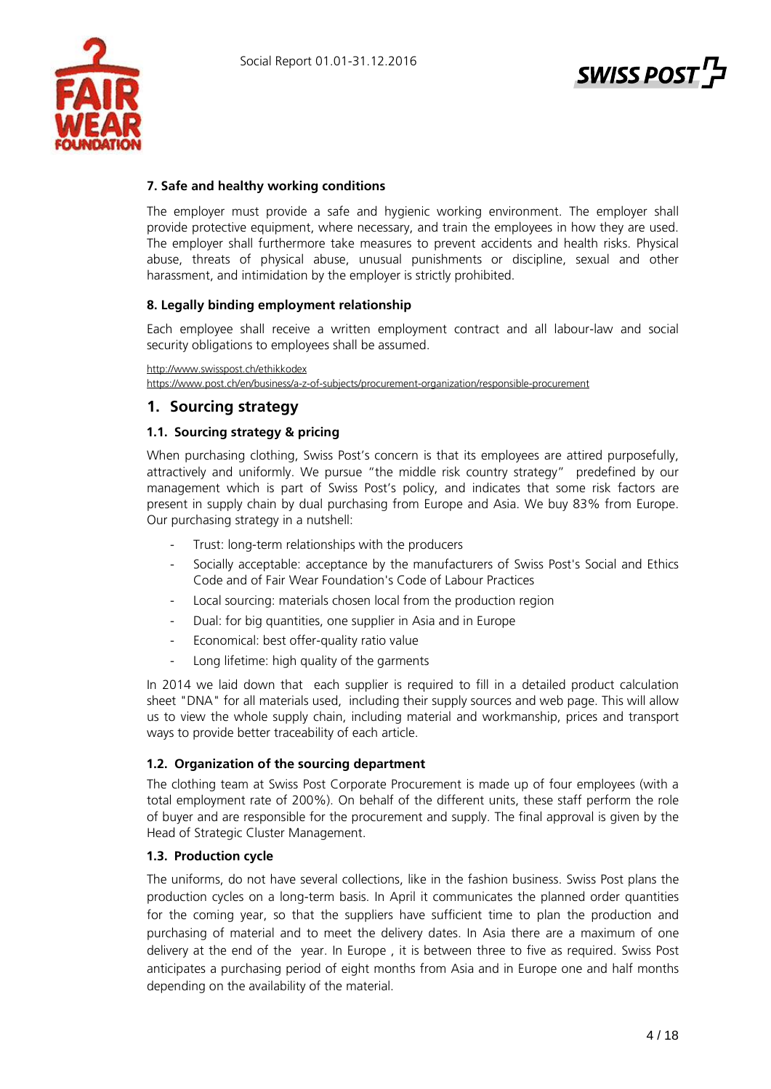



# **7. Safe and healthy working conditions**

The employer must provide a safe and hygienic working environment. The employer shall provide protective equipment, where necessary, and train the employees in how they are used. The employer shall furthermore take measures to prevent accidents and health risks. Physical abuse, threats of physical abuse, unusual punishments or discipline, sexual and other harassment, and intimidation by the employer is strictly prohibited.

# **8. Legally binding employment relationship**

Each employee shall receive a written employment contract and all labour-law and social security obligations to employees shall be assumed.

<http://www.swisspost.ch/ethikkodex>

<https://www.post.ch/en/business/a-z-of-subjects/procurement-organization/responsible-procurement>

# **1. Sourcing strategy**

# **1.1. Sourcing strategy & pricing**

When purchasing clothing, Swiss Post's concern is that its employees are attired purposefully, attractively and uniformly. We pursue "the middle risk country strategy" predefined by our management which is part of Swiss Post's policy, and indicates that some risk factors are present in supply chain by dual purchasing from Europe and Asia. We buy 83% from Europe. Our purchasing strategy in a nutshell:

- Trust: long-term relationships with the producers
- Socially acceptable: acceptance by the manufacturers of Swiss Post's Social and Ethics Code and of Fair Wear Foundation's Code of Labour Practices
- Local sourcing: materials chosen local from the production region
- Dual: for big quantities, one supplier in Asia and in Europe
- Economical: best offer-quality ratio value
- Long lifetime: high quality of the garments

In 2014 we laid down that each supplier is required to fill in a detailed product calculation sheet "DNA" for all materials used, including their supply sources and web page. This will allow us to view the whole supply chain, including material and workmanship, prices and transport ways to provide better traceability of each article.

# **1.2. Organization of the sourcing department**

The clothing team at Swiss Post Corporate Procurement is made up of four employees (with a total employment rate of 200%). On behalf of the different units, these staff perform the role of buyer and are responsible for the procurement and supply. The final approval is given by the Head of Strategic Cluster Management.

# **1.3. Production cycle**

The uniforms, do not have several collections, like in the fashion business. Swiss Post plans the production cycles on a long-term basis. In April it communicates the planned order quantities for the coming year, so that the suppliers have sufficient time to plan the production and purchasing of material and to meet the delivery dates. In Asia there are a maximum of one delivery at the end of the year. In Europe , it is between three to five as required. Swiss Post anticipates a purchasing period of eight months from Asia and in Europe one and half months depending on the availability of the material.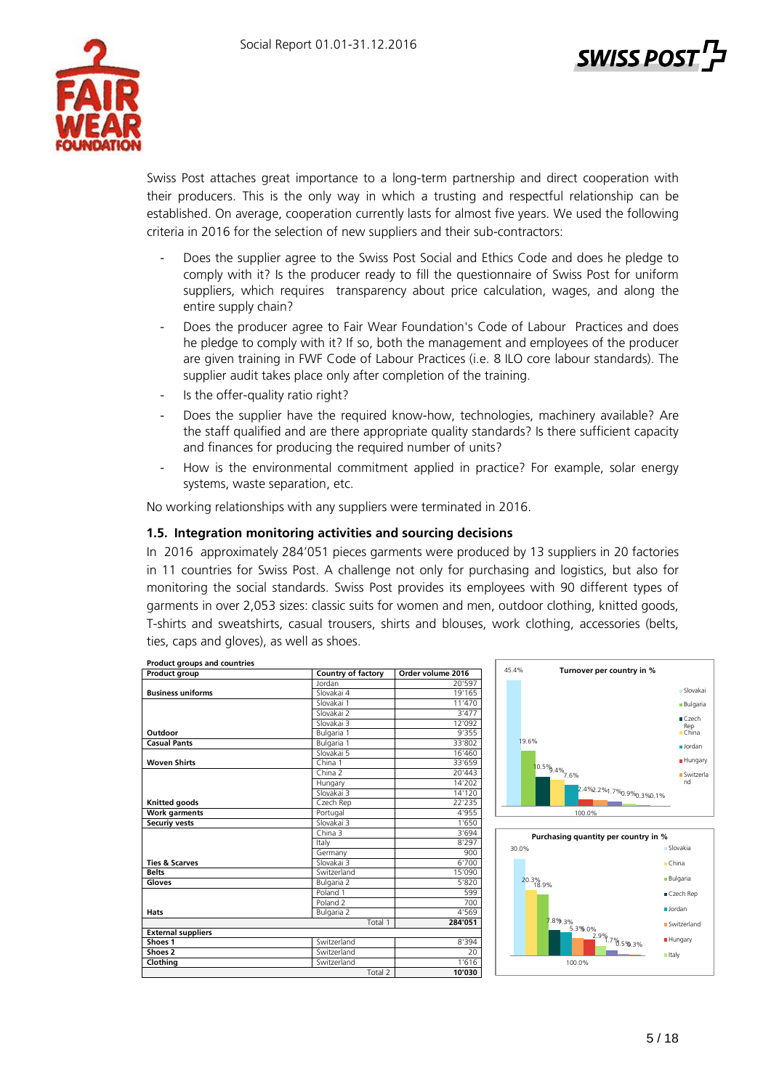

Swiss Post attaches great importance to a long-term partnership and direct cooperation with their producers. This is the only way in which a trusting and respectful relationship can be established. On average, cooperation currently lasts for almost five years. We used the following criteria in 2016 for the selection of new suppliers and their sub-contractors:

- Does the supplier agree to the Swiss Post Social and Ethics Code and does he pledge to comply with it? Is the producer ready to fill the questionnaire of Swiss Post for uniform suppliers, which requires transparency about price calculation, wages, and along the entire supply chain?
- Does the producer agree to Fair Wear Foundation's Code of Labour Practices and does he pledge to comply with it? If so, both the management and employees of the producer are given training in FWF Code of Labour Practices (i.e. 8 ILO core labour standards). The supplier audit takes place only after completion of the training.
- Is the offer-quality ratio right?
- Does the supplier have the required know-how, technologies, machinery available? Are the staff qualified and are there appropriate quality standards? Is there sufficient capacity and finances for producing the required number of units?
- How is the environmental commitment applied in practice? For example, solar energy systems, waste separation, etc.

No working relationships with any suppliers were terminated in 2016.

# **1.5. Integration monitoring activities and sourcing decisions**

In 2016 approximately 284'051 pieces garments were produced by 13 suppliers in 20 factories in 11 countries for Swiss Post. A challenge not only for purchasing and logistics, but also for monitoring the social standards. Swiss Post provides its employees with 90 different types of garments in over 2,053 sizes: classic suits for women and men, outdoor clothing, knitted goods, T-shirts and sweatshirts, casual trousers, shirts and blouses, work clothing, accessories (belts, ties, caps and gloves), as well as shoes.

| <b>Product groups and countries</b> |                     |                   |
|-------------------------------------|---------------------|-------------------|
| Product group                       | Country of factory  | Order volume 2016 |
|                                     | lordan              | 20'597            |
| <b>Business uniforms</b>            | Slovakai 4          | 19'165            |
|                                     | Slovakai 1          | 11'470            |
|                                     | Slovakai 2          | 3'477             |
|                                     | Slovakai 3          | 12'092            |
| Outdoor                             | Bulgaria 1          | 9'355             |
| <b>Casual Pants</b>                 | Bulgaria 1          | 33'802            |
|                                     | Slovakai 5          | 16'460            |
| <b>Woven Shirts</b>                 | China 1             | 33'659            |
|                                     | China <sub>2</sub>  | 20'443            |
|                                     | Hungary             | 14'202            |
|                                     | Slovakai 3          | 14'120            |
| Knitted goods                       | Czech Rep           | 22'235            |
| <b>Work garments</b>                | Portugal            | 4'955             |
| Securiy vests                       | Slovakai 3          | 1'650             |
|                                     | China 3             | 3'694             |
|                                     | Italy               | 8'297             |
|                                     | Germany             | 900               |
| <b>Ties &amp; Scarves</b>           | Slovakai 3          | 6'700             |
| <b>Belts</b>                        | Switzerland         | 15'090            |
| Gloves                              | Bulgaria 2          | 5'820             |
|                                     | Poland 1            | 599               |
|                                     | Poland <sub>2</sub> | 700               |
| <b>Hats</b>                         | Bulgaria 2          | 4'569             |
|                                     | Total 1             | 284'051           |
| <b>External suppliers</b>           |                     |                   |
| Shoes 1                             | Switzerland         | 8'394             |
| Shoes <sub>2</sub>                  | Switzerland         | 20                |
| Clothing                            | Switzerland         | 1'616             |
|                                     | Total 2             | 10'030            |



ל 'SWISS POST

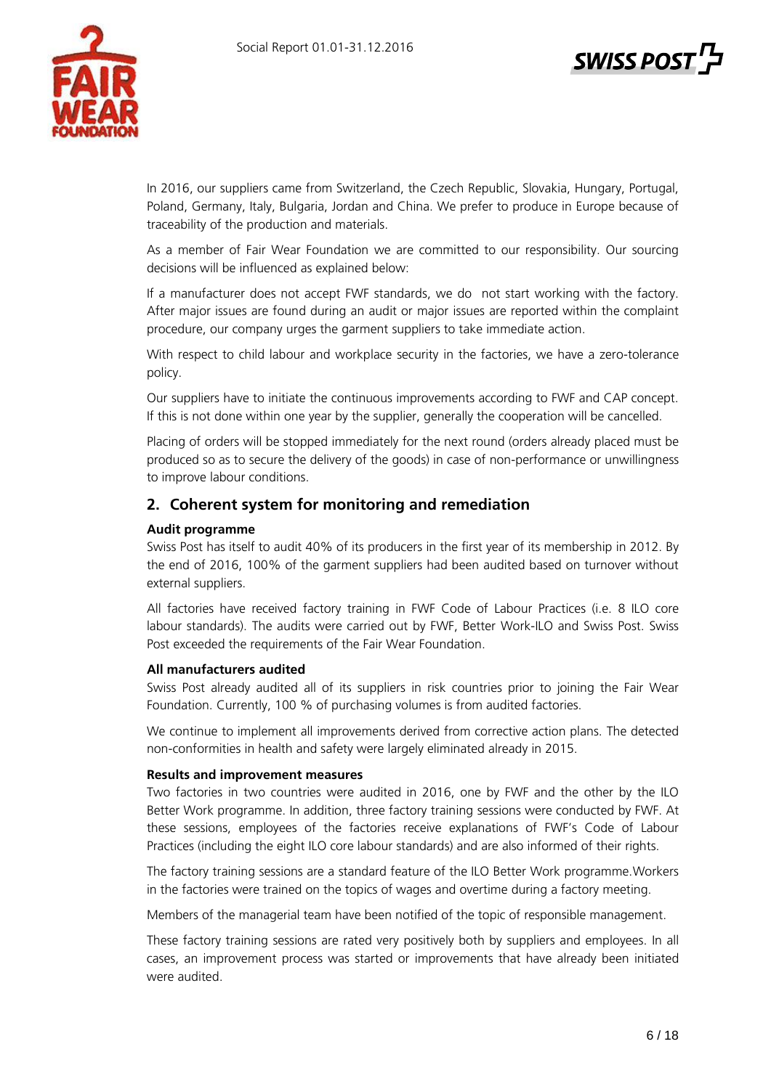

In 2016, our suppliers came from Switzerland, the Czech Republic, Slovakia, Hungary, Portugal, Poland, Germany, Italy, Bulgaria, Jordan and China. We prefer to produce in Europe because of traceability of the production and materials.

As a member of Fair Wear Foundation we are committed to our responsibility. Our sourcing decisions will be influenced as explained below:

If a manufacturer does not accept FWF standards, we do not start working with the factory. After major issues are found during an audit or major issues are reported within the complaint procedure, our company urges the garment suppliers to take immediate action.

With respect to child labour and workplace security in the factories, we have a zero-tolerance policy.

Our suppliers have to initiate the continuous improvements according to FWF and CAP concept. If this is not done within one year by the supplier, generally the cooperation will be cancelled.

Placing of orders will be stopped immediately for the next round (orders already placed must be produced so as to secure the delivery of the goods) in case of non-performance or unwillingness to improve labour conditions.

# **2. Coherent system for monitoring and remediation**

# **Audit programme**

Swiss Post has itself to audit 40% of its producers in the first year of its membership in 2012. By the end of 2016, 100% of the garment suppliers had been audited based on turnover without external suppliers.

All factories have received factory training in FWF Code of Labour Practices (i.e. 8 ILO core labour standards). The audits were carried out by FWF, Better Work-ILO and Swiss Post. Swiss Post exceeded the requirements of the Fair Wear Foundation.

# **All manufacturers audited**

Swiss Post already audited all of its suppliers in risk countries prior to joining the Fair Wear Foundation. Currently, 100 % of purchasing volumes is from audited factories.

We continue to implement all improvements derived from corrective action plans. The detected non-conformities in health and safety were largely eliminated already in 2015.

# **Results and improvement measures**

Two factories in two countries were audited in 2016, one by FWF and the other by the ILO Better Work programme. In addition, three factory training sessions were conducted by FWF. At these sessions, employees of the factories receive explanations of FWF's Code of Labour Practices (including the eight ILO core labour standards) and are also informed of their rights.

The factory training sessions are a standard feature of the ILO Better Work programme.Workers in the factories were trained on the topics of wages and overtime during a factory meeting.

Members of the managerial team have been notified of the topic of responsible management.

These factory training sessions are rated very positively both by suppliers and employees. In all cases, an improvement process was started or improvements that have already been initiated were audited.

**SWISS POST**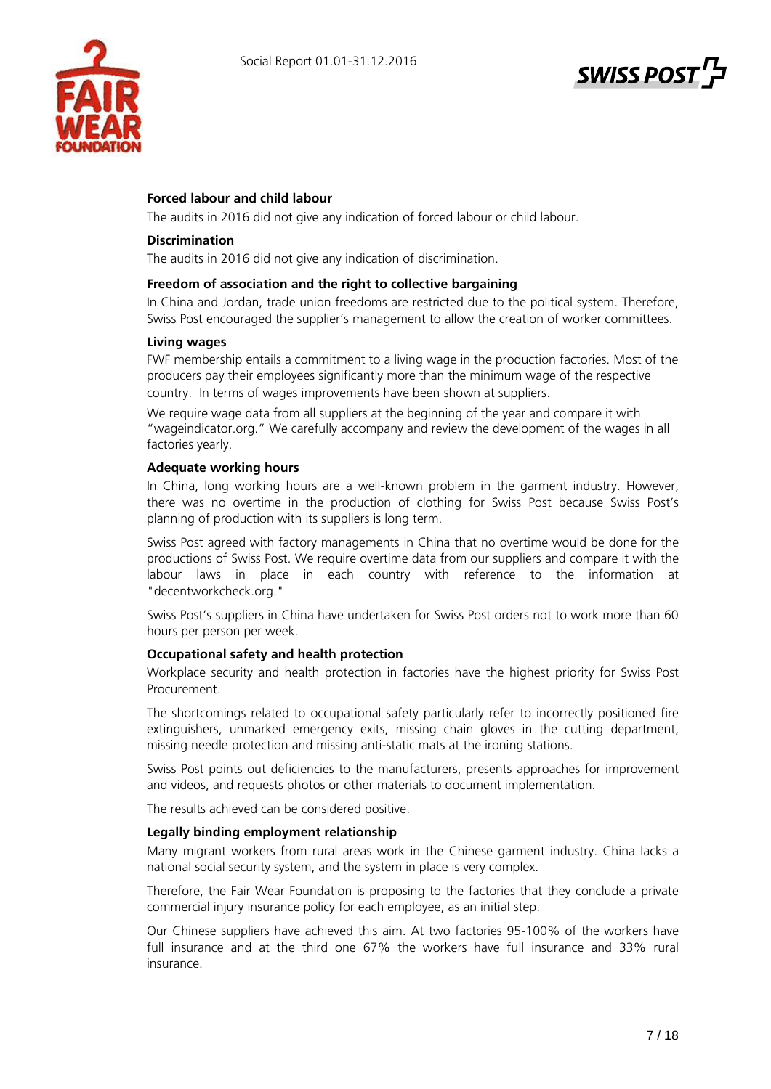



# **Forced labour and child labour**

The audits in 2016 did not give any indication of forced labour or child labour.

#### **Discrimination**

The audits in 2016 did not give any indication of discrimination.

#### **Freedom of association and the right to collective bargaining**

In China and Jordan, trade union freedoms are restricted due to the political system. Therefore, Swiss Post encouraged the supplier's management to allow the creation of worker committees.

#### **Living wages**

FWF membership entails a commitment to a living wage in the production factories. Most of the producers pay their employees significantly more than the minimum wage of the respective country. In terms of wages improvements have been shown at suppliers.

We require wage data from all suppliers at the beginning of the year and compare it with "wageindicator.org." We carefully accompany and review the development of the wages in all factories yearly.

#### **Adequate working hours**

In China, long working hours are a well-known problem in the garment industry. However, there was no overtime in the production of clothing for Swiss Post because Swiss Post's planning of production with its suppliers is long term.

Swiss Post agreed with factory managements in China that no overtime would be done for the productions of Swiss Post. We require overtime data from our suppliers and compare it with the labour laws in place in each country with reference to the information at "decentworkcheck.org."

Swiss Post's suppliers in China have undertaken for Swiss Post orders not to work more than 60 hours per person per week.

#### **Occupational safety and health protection**

Workplace security and health protection in factories have the highest priority for Swiss Post Procurement.

The shortcomings related to occupational safety particularly refer to incorrectly positioned fire extinguishers, unmarked emergency exits, missing chain gloves in the cutting department, missing needle protection and missing anti-static mats at the ironing stations.

Swiss Post points out deficiencies to the manufacturers, presents approaches for improvement and videos, and requests photos or other materials to document implementation.

The results achieved can be considered positive.

# **Legally binding employment relationship**

Many migrant workers from rural areas work in the Chinese garment industry. China lacks a national social security system, and the system in place is very complex.

Therefore, the Fair Wear Foundation is proposing to the factories that they conclude a private commercial injury insurance policy for each employee, as an initial step.

Our Chinese suppliers have achieved this aim. At two factories 95-100% of the workers have full insurance and at the third one 67% the workers have full insurance and 33% rural insurance.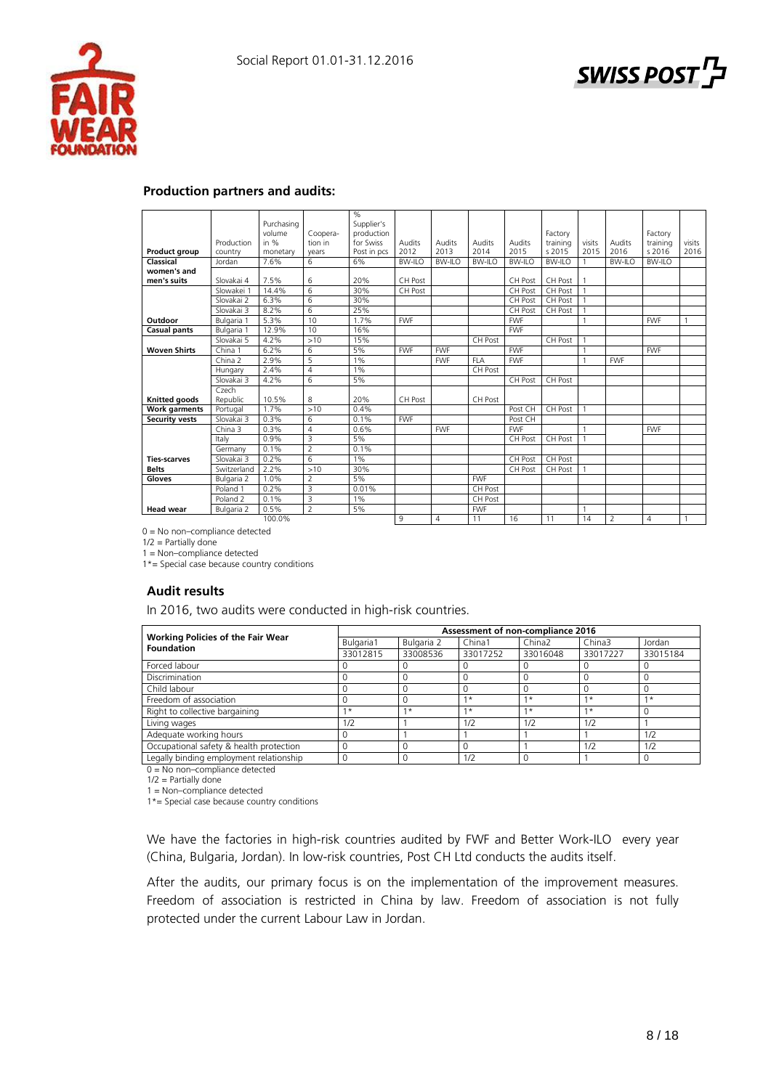



| Purchasing<br>Supplier's<br>volume<br>production<br>Factory<br>Coopera-<br>Factory<br>in $%$<br>for Swiss<br>Production<br>Audits<br>Audits<br>Audits<br>Audits<br>visits<br>tion in<br>Audits<br>training<br>visits<br>training<br>2012<br>2013<br>2014<br>2015<br>s 2015<br>2015<br>2016<br>Post in pcs<br>s 2016<br>2016<br><b>Product group</b><br>country<br>monetary<br>vears<br>7.6%<br>6<br>6%<br>Classical<br>BW-II O<br>BW-II O<br>BW-II O<br><b>BW-ILO</b><br><b>BW-ILO</b><br>BW-II O<br><b>BW-ILO</b><br>Jordan<br>women's and<br>men's suits<br>7.5%<br>6<br>20%<br>CH Post<br>Slovakai 4<br>CH Post<br>CH Post<br>$\overline{6}$<br>30%<br>14.4%<br>CH Post<br>CH Post<br><b>CH Post</b><br>Slowakei 1<br>6.3%<br>6<br>30%<br>Slovakai 2<br>CH Post<br>CH Post<br>$\mathbf{1}$<br>6<br>Slovakai 3<br>8.2%<br>25%<br>CH Post<br>CH Post<br>5.3%<br>10<br>1.7%<br><b>FWF</b><br><b>FWF</b><br><b>FWF</b><br>Outdoor<br>Bulgaria 1<br>12.9%<br>16%<br><b>FWF</b><br>10<br><b>Casual pants</b><br>Bulgaria 1<br>4.2%<br>>10<br>15%<br>CH Post<br>Slovakai 5<br>CH Post<br>6.2%<br>5%<br><b>FWF</b><br>6<br><b>FWF</b><br><b>FWF</b><br><b>FWF</b><br><b>Woven Shirts</b><br>China 1<br>5<br>2.9%<br>1%<br><b>FWF</b><br>FI A<br><b>FWF</b><br><b>FWF</b><br>China 2<br>2.4%<br>$\overline{4}$<br>1%<br>CH Post<br>Hungary<br>6<br>4.2%<br>5%<br>CH Post<br>CH Post<br>Slovakai 3<br>Czech<br>8<br>10.5%<br>20%<br>CH Post<br><b>Knitted goods</b><br>Republic<br>CH Post<br>1.7%<br>0.4%<br>>10<br>Post CH<br><b>CH Post</b><br><b>Work garments</b><br>Portugal<br>0.3%<br>6<br><b>FWF</b><br><b>Security vests</b><br>Slovakai 3<br>0.1%<br>Post CH<br>0.3%<br>$\overline{4}$<br>0.6%<br><b>FWF</b><br><b>FWF</b><br><b>FWF</b><br>China 3<br>5%<br>0.9%<br>3<br>CH Post<br>Italy<br>CH Post<br>$\overline{2}$<br>0.1%<br>0.1%<br>Germany<br>0.2%<br>6<br>1%<br><b>CH Post</b><br>CH Post<br><b>Ties-scarves</b><br>Slovakai 3<br>30%<br>2.2%<br>>10<br><b>Belts</b><br>CH Post<br>CH Post<br>Switzerland<br>$\overline{2}$<br>5%<br><b>FWF</b><br>1.0%<br>Bulgaria 2<br>3<br>0.2%<br>0.01%<br>Poland 1<br>CH Post<br>3<br>1%<br>0.1%<br>Poland <sub>2</sub><br>CH Post<br>$\overline{2}$<br>0.5%<br>5%<br><b>FWF</b><br>1<br>Bulgaria 2<br>$\Delta$<br>$\Delta$ |                  |  |  |  | % |    |    |    |    |                |  |  |
|-------------------------------------------------------------------------------------------------------------------------------------------------------------------------------------------------------------------------------------------------------------------------------------------------------------------------------------------------------------------------------------------------------------------------------------------------------------------------------------------------------------------------------------------------------------------------------------------------------------------------------------------------------------------------------------------------------------------------------------------------------------------------------------------------------------------------------------------------------------------------------------------------------------------------------------------------------------------------------------------------------------------------------------------------------------------------------------------------------------------------------------------------------------------------------------------------------------------------------------------------------------------------------------------------------------------------------------------------------------------------------------------------------------------------------------------------------------------------------------------------------------------------------------------------------------------------------------------------------------------------------------------------------------------------------------------------------------------------------------------------------------------------------------------------------------------------------------------------------------------------------------------------------------------------------------------------------------------------------------------------------------------------------------------------------------------------------------------------------------------------------------------------------------------------------------------------------------------------------------------------------------------------------|------------------|--|--|--|---|----|----|----|----|----------------|--|--|
|                                                                                                                                                                                                                                                                                                                                                                                                                                                                                                                                                                                                                                                                                                                                                                                                                                                                                                                                                                                                                                                                                                                                                                                                                                                                                                                                                                                                                                                                                                                                                                                                                                                                                                                                                                                                                                                                                                                                                                                                                                                                                                                                                                                                                                                                               |                  |  |  |  |   |    |    |    |    |                |  |  |
|                                                                                                                                                                                                                                                                                                                                                                                                                                                                                                                                                                                                                                                                                                                                                                                                                                                                                                                                                                                                                                                                                                                                                                                                                                                                                                                                                                                                                                                                                                                                                                                                                                                                                                                                                                                                                                                                                                                                                                                                                                                                                                                                                                                                                                                                               |                  |  |  |  |   |    |    |    |    |                |  |  |
|                                                                                                                                                                                                                                                                                                                                                                                                                                                                                                                                                                                                                                                                                                                                                                                                                                                                                                                                                                                                                                                                                                                                                                                                                                                                                                                                                                                                                                                                                                                                                                                                                                                                                                                                                                                                                                                                                                                                                                                                                                                                                                                                                                                                                                                                               |                  |  |  |  |   |    |    |    |    |                |  |  |
|                                                                                                                                                                                                                                                                                                                                                                                                                                                                                                                                                                                                                                                                                                                                                                                                                                                                                                                                                                                                                                                                                                                                                                                                                                                                                                                                                                                                                                                                                                                                                                                                                                                                                                                                                                                                                                                                                                                                                                                                                                                                                                                                                                                                                                                                               |                  |  |  |  |   |    |    |    |    |                |  |  |
|                                                                                                                                                                                                                                                                                                                                                                                                                                                                                                                                                                                                                                                                                                                                                                                                                                                                                                                                                                                                                                                                                                                                                                                                                                                                                                                                                                                                                                                                                                                                                                                                                                                                                                                                                                                                                                                                                                                                                                                                                                                                                                                                                                                                                                                                               |                  |  |  |  |   |    |    |    |    |                |  |  |
|                                                                                                                                                                                                                                                                                                                                                                                                                                                                                                                                                                                                                                                                                                                                                                                                                                                                                                                                                                                                                                                                                                                                                                                                                                                                                                                                                                                                                                                                                                                                                                                                                                                                                                                                                                                                                                                                                                                                                                                                                                                                                                                                                                                                                                                                               |                  |  |  |  |   |    |    |    |    |                |  |  |
|                                                                                                                                                                                                                                                                                                                                                                                                                                                                                                                                                                                                                                                                                                                                                                                                                                                                                                                                                                                                                                                                                                                                                                                                                                                                                                                                                                                                                                                                                                                                                                                                                                                                                                                                                                                                                                                                                                                                                                                                                                                                                                                                                                                                                                                                               |                  |  |  |  |   |    |    |    |    |                |  |  |
|                                                                                                                                                                                                                                                                                                                                                                                                                                                                                                                                                                                                                                                                                                                                                                                                                                                                                                                                                                                                                                                                                                                                                                                                                                                                                                                                                                                                                                                                                                                                                                                                                                                                                                                                                                                                                                                                                                                                                                                                                                                                                                                                                                                                                                                                               |                  |  |  |  |   |    |    |    |    |                |  |  |
|                                                                                                                                                                                                                                                                                                                                                                                                                                                                                                                                                                                                                                                                                                                                                                                                                                                                                                                                                                                                                                                                                                                                                                                                                                                                                                                                                                                                                                                                                                                                                                                                                                                                                                                                                                                                                                                                                                                                                                                                                                                                                                                                                                                                                                                                               |                  |  |  |  |   |    |    |    |    |                |  |  |
|                                                                                                                                                                                                                                                                                                                                                                                                                                                                                                                                                                                                                                                                                                                                                                                                                                                                                                                                                                                                                                                                                                                                                                                                                                                                                                                                                                                                                                                                                                                                                                                                                                                                                                                                                                                                                                                                                                                                                                                                                                                                                                                                                                                                                                                                               |                  |  |  |  |   |    |    |    |    |                |  |  |
|                                                                                                                                                                                                                                                                                                                                                                                                                                                                                                                                                                                                                                                                                                                                                                                                                                                                                                                                                                                                                                                                                                                                                                                                                                                                                                                                                                                                                                                                                                                                                                                                                                                                                                                                                                                                                                                                                                                                                                                                                                                                                                                                                                                                                                                                               |                  |  |  |  |   |    |    |    |    |                |  |  |
|                                                                                                                                                                                                                                                                                                                                                                                                                                                                                                                                                                                                                                                                                                                                                                                                                                                                                                                                                                                                                                                                                                                                                                                                                                                                                                                                                                                                                                                                                                                                                                                                                                                                                                                                                                                                                                                                                                                                                                                                                                                                                                                                                                                                                                                                               |                  |  |  |  |   |    |    |    |    |                |  |  |
|                                                                                                                                                                                                                                                                                                                                                                                                                                                                                                                                                                                                                                                                                                                                                                                                                                                                                                                                                                                                                                                                                                                                                                                                                                                                                                                                                                                                                                                                                                                                                                                                                                                                                                                                                                                                                                                                                                                                                                                                                                                                                                                                                                                                                                                                               |                  |  |  |  |   |    |    |    |    |                |  |  |
|                                                                                                                                                                                                                                                                                                                                                                                                                                                                                                                                                                                                                                                                                                                                                                                                                                                                                                                                                                                                                                                                                                                                                                                                                                                                                                                                                                                                                                                                                                                                                                                                                                                                                                                                                                                                                                                                                                                                                                                                                                                                                                                                                                                                                                                                               |                  |  |  |  |   |    |    |    |    |                |  |  |
|                                                                                                                                                                                                                                                                                                                                                                                                                                                                                                                                                                                                                                                                                                                                                                                                                                                                                                                                                                                                                                                                                                                                                                                                                                                                                                                                                                                                                                                                                                                                                                                                                                                                                                                                                                                                                                                                                                                                                                                                                                                                                                                                                                                                                                                                               |                  |  |  |  |   |    |    |    |    |                |  |  |
|                                                                                                                                                                                                                                                                                                                                                                                                                                                                                                                                                                                                                                                                                                                                                                                                                                                                                                                                                                                                                                                                                                                                                                                                                                                                                                                                                                                                                                                                                                                                                                                                                                                                                                                                                                                                                                                                                                                                                                                                                                                                                                                                                                                                                                                                               |                  |  |  |  |   |    |    |    |    |                |  |  |
|                                                                                                                                                                                                                                                                                                                                                                                                                                                                                                                                                                                                                                                                                                                                                                                                                                                                                                                                                                                                                                                                                                                                                                                                                                                                                                                                                                                                                                                                                                                                                                                                                                                                                                                                                                                                                                                                                                                                                                                                                                                                                                                                                                                                                                                                               |                  |  |  |  |   |    |    |    |    |                |  |  |
|                                                                                                                                                                                                                                                                                                                                                                                                                                                                                                                                                                                                                                                                                                                                                                                                                                                                                                                                                                                                                                                                                                                                                                                                                                                                                                                                                                                                                                                                                                                                                                                                                                                                                                                                                                                                                                                                                                                                                                                                                                                                                                                                                                                                                                                                               |                  |  |  |  |   |    |    |    |    |                |  |  |
|                                                                                                                                                                                                                                                                                                                                                                                                                                                                                                                                                                                                                                                                                                                                                                                                                                                                                                                                                                                                                                                                                                                                                                                                                                                                                                                                                                                                                                                                                                                                                                                                                                                                                                                                                                                                                                                                                                                                                                                                                                                                                                                                                                                                                                                                               |                  |  |  |  |   |    |    |    |    |                |  |  |
|                                                                                                                                                                                                                                                                                                                                                                                                                                                                                                                                                                                                                                                                                                                                                                                                                                                                                                                                                                                                                                                                                                                                                                                                                                                                                                                                                                                                                                                                                                                                                                                                                                                                                                                                                                                                                                                                                                                                                                                                                                                                                                                                                                                                                                                                               |                  |  |  |  |   |    |    |    |    |                |  |  |
|                                                                                                                                                                                                                                                                                                                                                                                                                                                                                                                                                                                                                                                                                                                                                                                                                                                                                                                                                                                                                                                                                                                                                                                                                                                                                                                                                                                                                                                                                                                                                                                                                                                                                                                                                                                                                                                                                                                                                                                                                                                                                                                                                                                                                                                                               |                  |  |  |  |   |    |    |    |    |                |  |  |
|                                                                                                                                                                                                                                                                                                                                                                                                                                                                                                                                                                                                                                                                                                                                                                                                                                                                                                                                                                                                                                                                                                                                                                                                                                                                                                                                                                                                                                                                                                                                                                                                                                                                                                                                                                                                                                                                                                                                                                                                                                                                                                                                                                                                                                                                               |                  |  |  |  |   |    |    |    |    |                |  |  |
|                                                                                                                                                                                                                                                                                                                                                                                                                                                                                                                                                                                                                                                                                                                                                                                                                                                                                                                                                                                                                                                                                                                                                                                                                                                                                                                                                                                                                                                                                                                                                                                                                                                                                                                                                                                                                                                                                                                                                                                                                                                                                                                                                                                                                                                                               |                  |  |  |  |   |    |    |    |    |                |  |  |
|                                                                                                                                                                                                                                                                                                                                                                                                                                                                                                                                                                                                                                                                                                                                                                                                                                                                                                                                                                                                                                                                                                                                                                                                                                                                                                                                                                                                                                                                                                                                                                                                                                                                                                                                                                                                                                                                                                                                                                                                                                                                                                                                                                                                                                                                               |                  |  |  |  |   |    |    |    |    |                |  |  |
|                                                                                                                                                                                                                                                                                                                                                                                                                                                                                                                                                                                                                                                                                                                                                                                                                                                                                                                                                                                                                                                                                                                                                                                                                                                                                                                                                                                                                                                                                                                                                                                                                                                                                                                                                                                                                                                                                                                                                                                                                                                                                                                                                                                                                                                                               |                  |  |  |  |   |    |    |    |    |                |  |  |
|                                                                                                                                                                                                                                                                                                                                                                                                                                                                                                                                                                                                                                                                                                                                                                                                                                                                                                                                                                                                                                                                                                                                                                                                                                                                                                                                                                                                                                                                                                                                                                                                                                                                                                                                                                                                                                                                                                                                                                                                                                                                                                                                                                                                                                                                               |                  |  |  |  |   |    |    |    |    |                |  |  |
|                                                                                                                                                                                                                                                                                                                                                                                                                                                                                                                                                                                                                                                                                                                                                                                                                                                                                                                                                                                                                                                                                                                                                                                                                                                                                                                                                                                                                                                                                                                                                                                                                                                                                                                                                                                                                                                                                                                                                                                                                                                                                                                                                                                                                                                                               | Gloves           |  |  |  |   |    |    |    |    |                |  |  |
|                                                                                                                                                                                                                                                                                                                                                                                                                                                                                                                                                                                                                                                                                                                                                                                                                                                                                                                                                                                                                                                                                                                                                                                                                                                                                                                                                                                                                                                                                                                                                                                                                                                                                                                                                                                                                                                                                                                                                                                                                                                                                                                                                                                                                                                                               |                  |  |  |  |   |    |    |    |    |                |  |  |
|                                                                                                                                                                                                                                                                                                                                                                                                                                                                                                                                                                                                                                                                                                                                                                                                                                                                                                                                                                                                                                                                                                                                                                                                                                                                                                                                                                                                                                                                                                                                                                                                                                                                                                                                                                                                                                                                                                                                                                                                                                                                                                                                                                                                                                                                               |                  |  |  |  |   |    |    |    |    |                |  |  |
|                                                                                                                                                                                                                                                                                                                                                                                                                                                                                                                                                                                                                                                                                                                                                                                                                                                                                                                                                                                                                                                                                                                                                                                                                                                                                                                                                                                                                                                                                                                                                                                                                                                                                                                                                                                                                                                                                                                                                                                                                                                                                                                                                                                                                                                                               | <b>Head wear</b> |  |  |  |   |    |    |    |    |                |  |  |
|                                                                                                                                                                                                                                                                                                                                                                                                                                                                                                                                                                                                                                                                                                                                                                                                                                                                                                                                                                                                                                                                                                                                                                                                                                                                                                                                                                                                                                                                                                                                                                                                                                                                                                                                                                                                                                                                                                                                                                                                                                                                                                                                                                                                                                                                               | 100.0%           |  |  |  | 9 | 11 | 16 | 11 | 14 | $\overline{2}$ |  |  |

# **Production partners and audits:**

0 = No non–compliance detected

1/2 = Partially done

1 = Non–compliance detected 1\*= Special case because country conditions

# **Audit results**

In 2016, two audits were conducted in high-risk countries.

| <b>Working Policies of the Fair Wear</b> | Assessment of non-compliance 2016 |            |          |                    |          |          |  |  |  |
|------------------------------------------|-----------------------------------|------------|----------|--------------------|----------|----------|--|--|--|
| Foundation                               | Bulgaria1                         | Bulgaria 2 | China1   | China <sub>2</sub> | China3   | Jordan   |  |  |  |
|                                          | 33012815                          | 33008536   | 33017252 | 33016048           | 33017227 | 33015184 |  |  |  |
| Forced labour                            |                                   |            |          |                    |          |          |  |  |  |
| Discrimination                           |                                   |            |          |                    |          |          |  |  |  |
| Child labour                             |                                   |            |          | 0                  |          |          |  |  |  |
| Freedom of association                   |                                   |            | $1*$     | $1*$               | $1*$     | $1*$     |  |  |  |
| Right to collective bargaining           | $\star$                           | $1*$       | $1*$     | $1*$               | $1*$     |          |  |  |  |
| Living wages                             | 1/2                               |            | 1/2      | 1/2                | 1/2      |          |  |  |  |
| Adequate working hours                   |                                   |            |          |                    |          | 1/2      |  |  |  |
| Occupational safety & health protection  |                                   |            |          |                    | 1/2      | 1/2      |  |  |  |
| Legally binding employment relationship  |                                   |            | 1/2      |                    |          |          |  |  |  |

 $0 = No$  non–compliance detected

 $1/2$  = Partially done

1 = Non–compliance detected

1\*= Special case because country conditions

We have the factories in high-risk countries audited by FWF and Better Work-ILO every year (China, Bulgaria, Jordan). In low-risk countries, Post CH Ltd conducts the audits itself.

After the audits, our primary focus is on the implementation of the improvement measures. Freedom of association is restricted in China by law. Freedom of association is not fully protected under the current Labour Law in Jordan.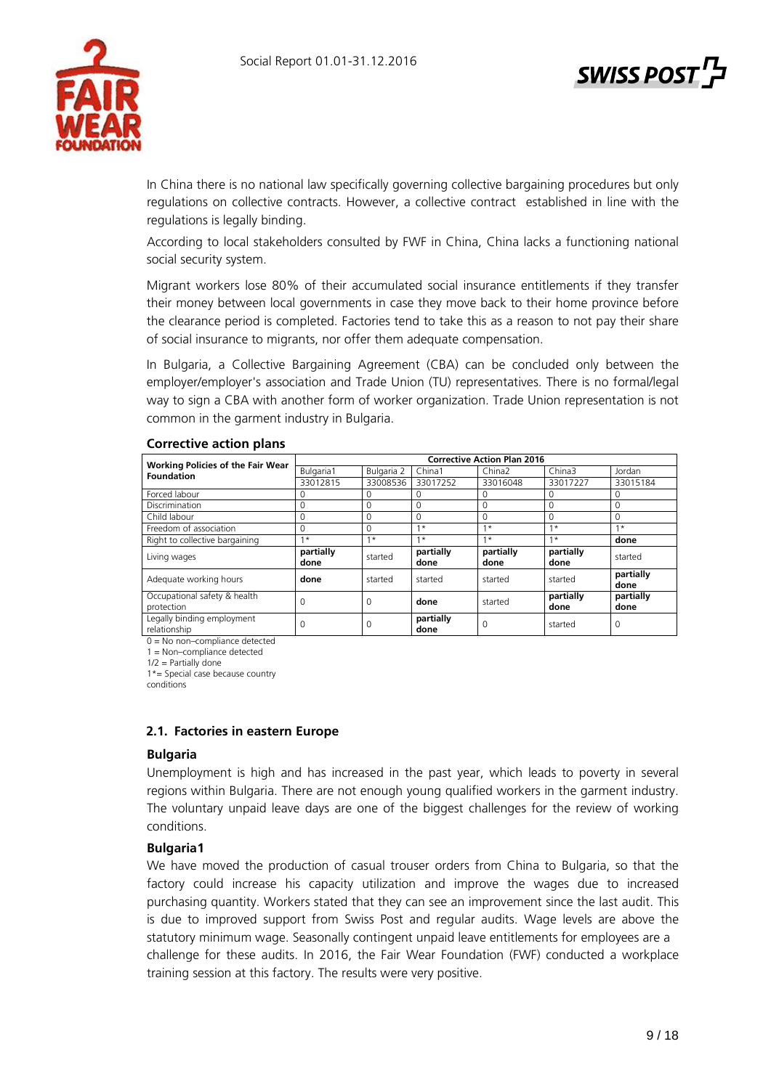

In China there is no national law specifically governing collective bargaining procedures but only regulations on collective contracts. However, a collective contract established in line with the regulations is legally binding.

According to local stakeholders consulted by FWF in China, China lacks a functioning national social security system.

Migrant workers lose 80% of their accumulated social insurance entitlements if they transfer their money between local governments in case they move back to their home province before the clearance period is completed. Factories tend to take this as a reason to not pay their share of social insurance to migrants, nor offer them adequate compensation.

In Bulgaria, a Collective Bargaining Agreement (CBA) can be concluded only between the employer/employer's association and Trade Union (TU) representatives. There is no formal/legal way to sign a CBA with another form of worker organization. Trade Union representation is not common in the garment industry in Bulgaria.

|                                                        | <b>Corrective Action Plan 2016</b> |            |                   |                    |                   |                   |  |  |  |
|--------------------------------------------------------|------------------------------------|------------|-------------------|--------------------|-------------------|-------------------|--|--|--|
| <b>Working Policies of the Fair Wear</b><br>Foundation | Bulgaria1                          | Bulgaria 2 | China1            | China <sub>2</sub> | China3            | Jordan            |  |  |  |
|                                                        | 33012815                           | 33008536   | 33017252          | 33016048           | 33017227          | 33015184          |  |  |  |
| Forced labour                                          | 0                                  | 0          | 0                 | 0                  | 0                 | 0                 |  |  |  |
| <b>Discrimination</b>                                  | 0                                  | $\Omega$   | 0                 | $\Omega$           | $\Omega$          | $\Omega$          |  |  |  |
| Child labour                                           | $\Omega$                           | $\Omega$   | 0                 | $\Omega$           | $\Omega$          | $\Omega$          |  |  |  |
| Freedom of association                                 | 0                                  | 0          | $1 *$             | $1*$               | $1*$              | $1 *$             |  |  |  |
| Right to collective bargaining                         | $\star$<br>$\overline{a}$          | $1*$       | $1*$              | $1*$               | $1*$              | done              |  |  |  |
| Living wages                                           | partially<br>done                  | started    | partially<br>done | partially<br>done  | partially<br>done | started           |  |  |  |
| Adequate working hours                                 | done                               | started    | started           | started            | started           | partially<br>done |  |  |  |
| Occupational safety & health<br>protection             | 0                                  | $\Omega$   | done              | started            | partially<br>done | partially<br>done |  |  |  |
| Legally binding employment<br>relationship             | 0                                  | 0          | partially<br>done | 0                  | started           | $\Omega$          |  |  |  |

# **Corrective action plans**

0 = No non–compliance detected

1 = Non–compliance detected

 $1/2$  = Partially done

1\*= Special case because country

conditions

# **2.1. Factories in eastern Europe**

#### **Bulgaria**

Unemployment is high and has increased in the past year, which leads to poverty in several regions within Bulgaria. There are not enough young qualified workers in the garment industry. The voluntary unpaid leave days are one of the biggest challenges for the review of working conditions.

# **Bulgaria1**

We have moved the production of casual trouser orders from China to Bulgaria, so that the factory could increase his capacity utilization and improve the wages due to increased purchasing quantity. Workers stated that they can see an improvement since the last audit. This is due to improved support from Swiss Post and regular audits. Wage levels are above the statutory minimum wage. Seasonally contingent unpaid leave entitlements for employees are a challenge for these audits. In 2016, the Fair Wear Foundation (FWF) conducted a workplace training session at this factory. The results were very positive.

**SWISS POS**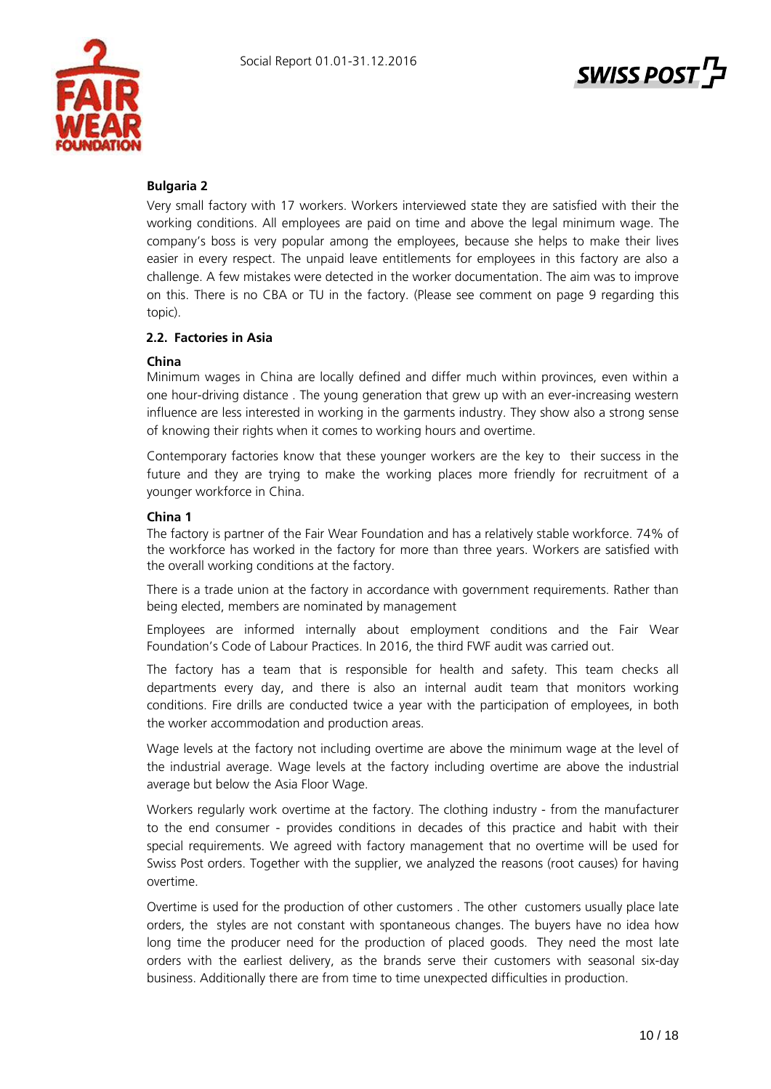



# **Bulgaria 2**

Very small factory with 17 workers. Workers interviewed state they are satisfied with their the working conditions. All employees are paid on time and above the legal minimum wage. The company's boss is very popular among the employees, because she helps to make their lives easier in every respect. The unpaid leave entitlements for employees in this factory are also a challenge. A few mistakes were detected in the worker documentation. The aim was to improve on this. There is no CBA or TU in the factory. (Please see comment on page 9 regarding this topic).

# **2.2. Factories in Asia**

#### **China**

Minimum wages in China are locally defined and differ much within provinces, even within a one hour-driving distance . The young generation that grew up with an ever-increasing western influence are less interested in working in the garments industry. They show also a strong sense of knowing their rights when it comes to working hours and overtime.

Contemporary factories know that these younger workers are the key to their success in the future and they are trying to make the working places more friendly for recruitment of a younger workforce in China.

#### **China 1**

The factory is partner of the Fair Wear Foundation and has a relatively stable workforce. 74% of the workforce has worked in the factory for more than three years. Workers are satisfied with the overall working conditions at the factory.

There is a trade union at the factory in accordance with government requirements. Rather than being elected, members are nominated by management

Employees are informed internally about employment conditions and the Fair Wear Foundation's Code of Labour Practices. In 2016, the third FWF audit was carried out.

The factory has a team that is responsible for health and safety. This team checks all departments every day, and there is also an internal audit team that monitors working conditions. Fire drills are conducted twice a year with the participation of employees, in both the worker accommodation and production areas.

Wage levels at the factory not including overtime are above the minimum wage at the level of the industrial average. Wage levels at the factory including overtime are above the industrial average but below the Asia Floor Wage.

Workers regularly work overtime at the factory. The clothing industry - from the manufacturer to the end consumer - provides conditions in decades of this practice and habit with their special requirements. We agreed with factory management that no overtime will be used for Swiss Post orders. Together with the supplier, we analyzed the reasons (root causes) for having overtime.

Overtime is used for the production of other customers . The other customers usually place late orders, the styles are not constant with spontaneous changes. The buyers have no idea how long time the producer need for the production of placed goods. They need the most late orders with the earliest delivery, as the brands serve their customers with seasonal six-day business. Additionally there are from time to time unexpected difficulties in production.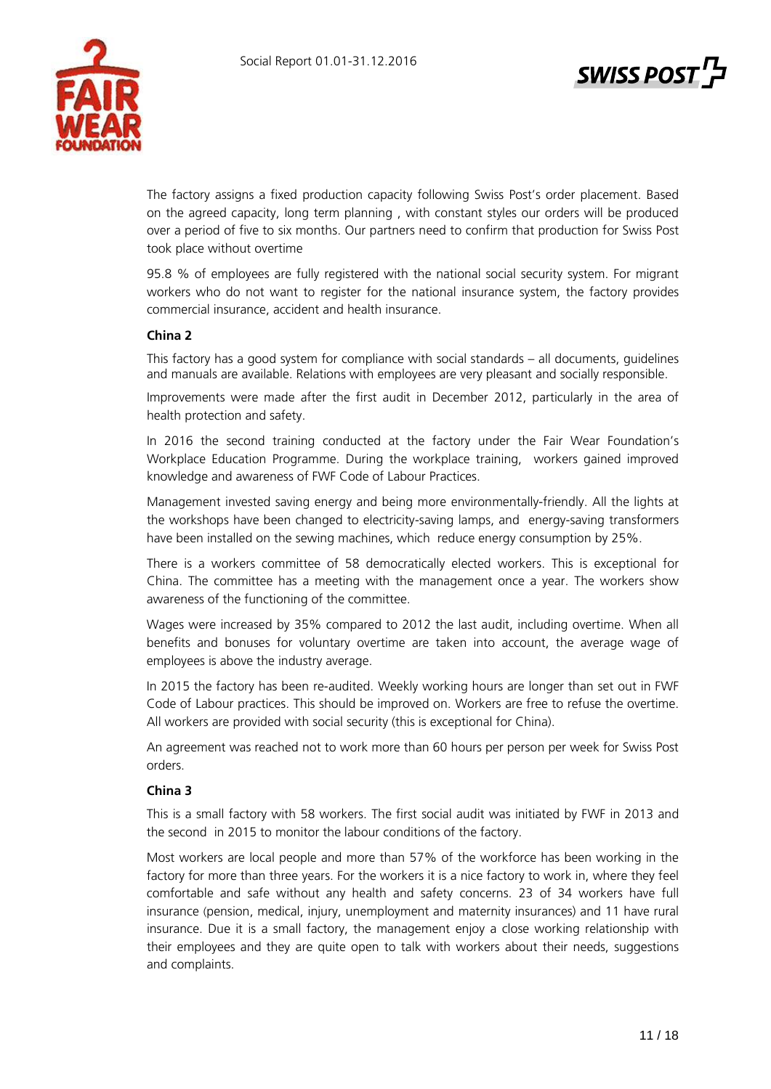



The factory assigns a fixed production capacity following Swiss Post's order placement. Based on the agreed capacity, long term planning , with constant styles our orders will be produced over a period of five to six months. Our partners need to confirm that production for Swiss Post took place without overtime

95.8 % of employees are fully registered with the national social security system. For migrant workers who do not want to register for the national insurance system, the factory provides commercial insurance, accident and health insurance.

# **China 2**

This factory has a good system for compliance with social standards – all documents, guidelines and manuals are available. Relations with employees are very pleasant and socially responsible.

Improvements were made after the first audit in December 2012, particularly in the area of health protection and safety.

In 2016 the second training conducted at the factory under the Fair Wear Foundation's Workplace Education Programme. During the workplace training, workers gained improved knowledge and awareness of FWF Code of Labour Practices.

Management invested saving energy and being more environmentally-friendly. All the lights at the workshops have been changed to electricity-saving lamps, and energy-saving transformers have been installed on the sewing machines, which reduce energy consumption by 25%.

There is a workers committee of 58 democratically elected workers. This is exceptional for China. The committee has a meeting with the management once a year. The workers show awareness of the functioning of the committee.

Wages were increased by 35% compared to 2012 the last audit, including overtime. When all benefits and bonuses for voluntary overtime are taken into account, the average wage of employees is above the industry average.

In 2015 the factory has been re-audited. Weekly working hours are longer than set out in FWF Code of Labour practices. This should be improved on. Workers are free to refuse the overtime. All workers are provided with social security (this is exceptional for China).

An agreement was reached not to work more than 60 hours per person per week for Swiss Post orders.

# **China 3**

This is a small factory with 58 workers. The first social audit was initiated by FWF in 2013 and the second in 2015 to monitor the labour conditions of the factory.

Most workers are local people and more than 57% of the workforce has been working in the factory for more than three years. For the workers it is a nice factory to work in, where they feel comfortable and safe without any health and safety concerns. 23 of 34 workers have full insurance (pension, medical, injury, unemployment and maternity insurances) and 11 have rural insurance. Due it is a small factory, the management enjoy a close working relationship with their employees and they are quite open to talk with workers about their needs, suggestions and complaints.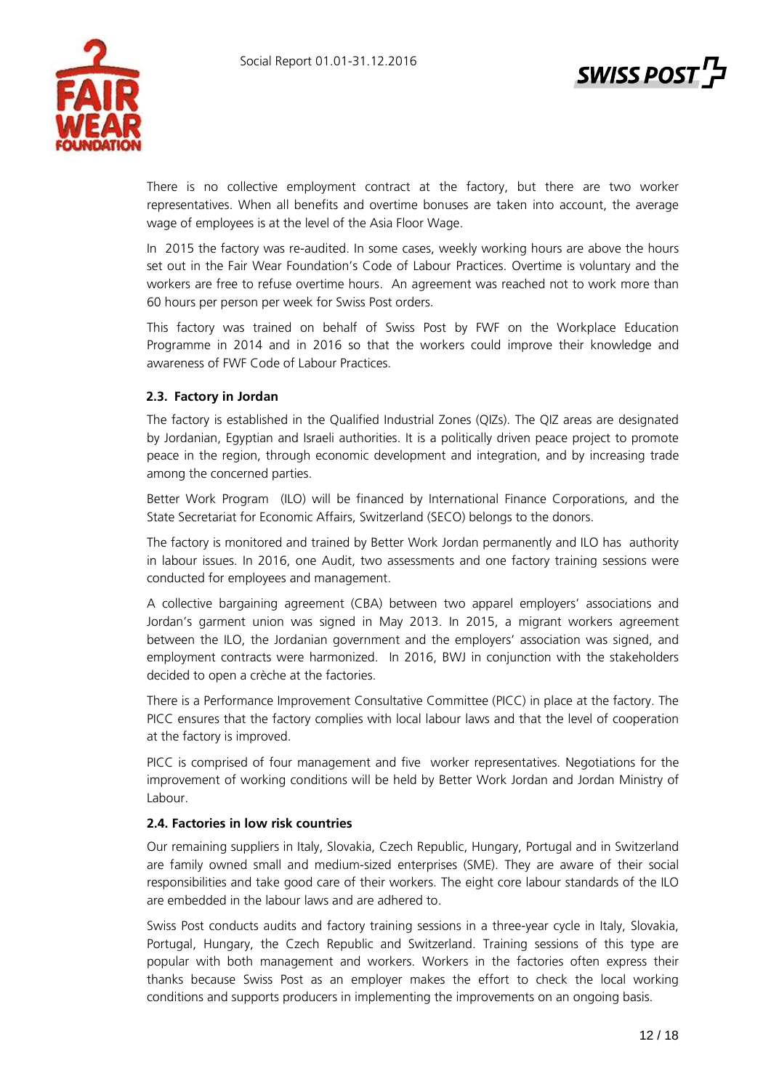



There is no collective employment contract at the factory, but there are two worker representatives. When all benefits and overtime bonuses are taken into account, the average wage of employees is at the level of the Asia Floor Wage.

In 2015 the factory was re-audited. In some cases, weekly working hours are above the hours set out in the Fair Wear Foundation's Code of Labour Practices. Overtime is voluntary and the workers are free to refuse overtime hours. An agreement was reached not to work more than 60 hours per person per week for Swiss Post orders.

This factory was trained on behalf of Swiss Post by FWF on the Workplace Education Programme in 2014 and in 2016 so that the workers could improve their knowledge and awareness of FWF Code of Labour Practices.

# **2.3. Factory in Jordan**

The factory is established in the Qualified Industrial Zones (QIZs). The QIZ areas are designated by Jordanian, Egyptian and Israeli authorities. It is a politically driven peace project to promote peace in the region, through economic development and integration, and by increasing trade among the concerned parties.

Better Work Program (ILO) will be financed by International Finance Corporations, and the State Secretariat for Economic Affairs, Switzerland (SECO) belongs to the donors.

The factory is monitored and trained by Better Work Jordan permanently and ILO has authority in labour issues. In 2016, one Audit, two assessments and one factory training sessions were conducted for employees and management.

A collective bargaining agreement (CBA) between two apparel employers' associations and Jordan's garment union was signed in May 2013. In 2015, a migrant workers agreement between the ILO, the Jordanian government and the employers' association was signed, and employment contracts were harmonized. In 2016, BWJ in conjunction with the stakeholders decided to open a crèche at the factories.

There is a Performance Improvement Consultative Committee (PICC) in place at the factory. The PICC ensures that the factory complies with local labour laws and that the level of cooperation at the factory is improved.

PICC is comprised of four management and five worker representatives. Negotiations for the improvement of working conditions will be held by Better Work Jordan and Jordan Ministry of Labour.

# **2.4. Factories in low risk countries**

Our remaining suppliers in Italy, Slovakia, Czech Republic, Hungary, Portugal and in Switzerland are family owned small and medium-sized enterprises (SME). They are aware of their social responsibilities and take good care of their workers. The eight core labour standards of the ILO are embedded in the labour laws and are adhered to.

Swiss Post conducts audits and factory training sessions in a three-year cycle in Italy, Slovakia, Portugal, Hungary, the Czech Republic and Switzerland. Training sessions of this type are popular with both management and workers. Workers in the factories often express their thanks because Swiss Post as an employer makes the effort to check the local working conditions and supports producers in implementing the improvements on an ongoing basis.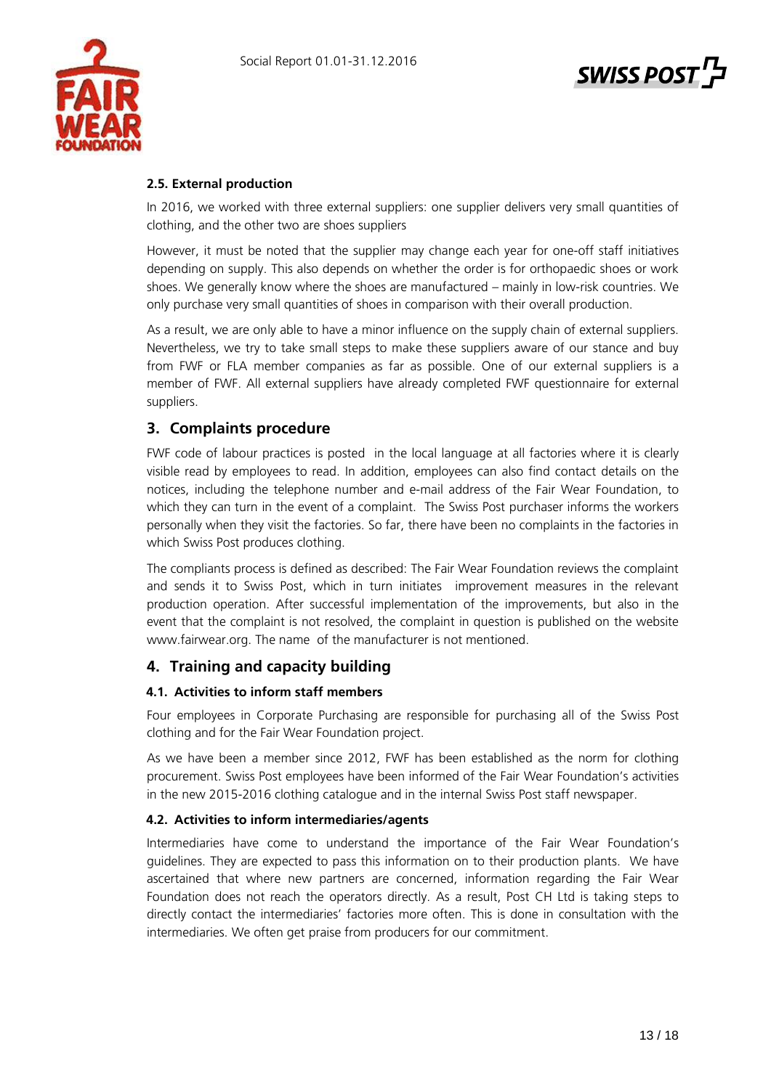

# **SWISS POST**

# **2.5. External production**

In 2016, we worked with three external suppliers: one supplier delivers very small quantities of clothing, and the other two are shoes suppliers

However, it must be noted that the supplier may change each year for one-off staff initiatives depending on supply. This also depends on whether the order is for orthopaedic shoes or work shoes. We generally know where the shoes are manufactured – mainly in low-risk countries. We only purchase very small quantities of shoes in comparison with their overall production.

As a result, we are only able to have a minor influence on the supply chain of external suppliers. Nevertheless, we try to take small steps to make these suppliers aware of our stance and buy from FWF or FLA member companies as far as possible. One of our external suppliers is a member of FWF. All external suppliers have already completed FWF questionnaire for external suppliers.

# **3. Complaints procedure**

FWF code of labour practices is posted in the local language at all factories where it is clearly visible read by employees to read. In addition, employees can also find contact details on the notices, including the telephone number and e-mail address of the Fair Wear Foundation, to which they can turn in the event of a complaint. The Swiss Post purchaser informs the workers personally when they visit the factories. So far, there have been no complaints in the factories in which Swiss Post produces clothing.

The compliants process is defined as described: The Fair Wear Foundation reviews the complaint and sends it to Swiss Post, which in turn initiates improvement measures in the relevant production operation. After successful implementation of the improvements, but also in the event that the complaint is not resolved, the complaint in question is published on the website www.fairwear.org. The name of the manufacturer is not mentioned.

# **4. Training and capacity building**

# **4.1. Activities to inform staff members**

Four employees in Corporate Purchasing are responsible for purchasing all of the Swiss Post clothing and for the Fair Wear Foundation project.

As we have been a member since 2012, FWF has been established as the norm for clothing procurement. Swiss Post employees have been informed of the Fair Wear Foundation's activities in the new 2015-2016 clothing catalogue and in the internal Swiss Post staff newspaper.

# **4.2. Activities to inform intermediaries/agents**

Intermediaries have come to understand the importance of the Fair Wear Foundation's guidelines. They are expected to pass this information on to their production plants. We have ascertained that where new partners are concerned, information regarding the Fair Wear Foundation does not reach the operators directly. As a result, Post CH Ltd is taking steps to directly contact the intermediaries' factories more often. This is done in consultation with the intermediaries. We often get praise from producers for our commitment.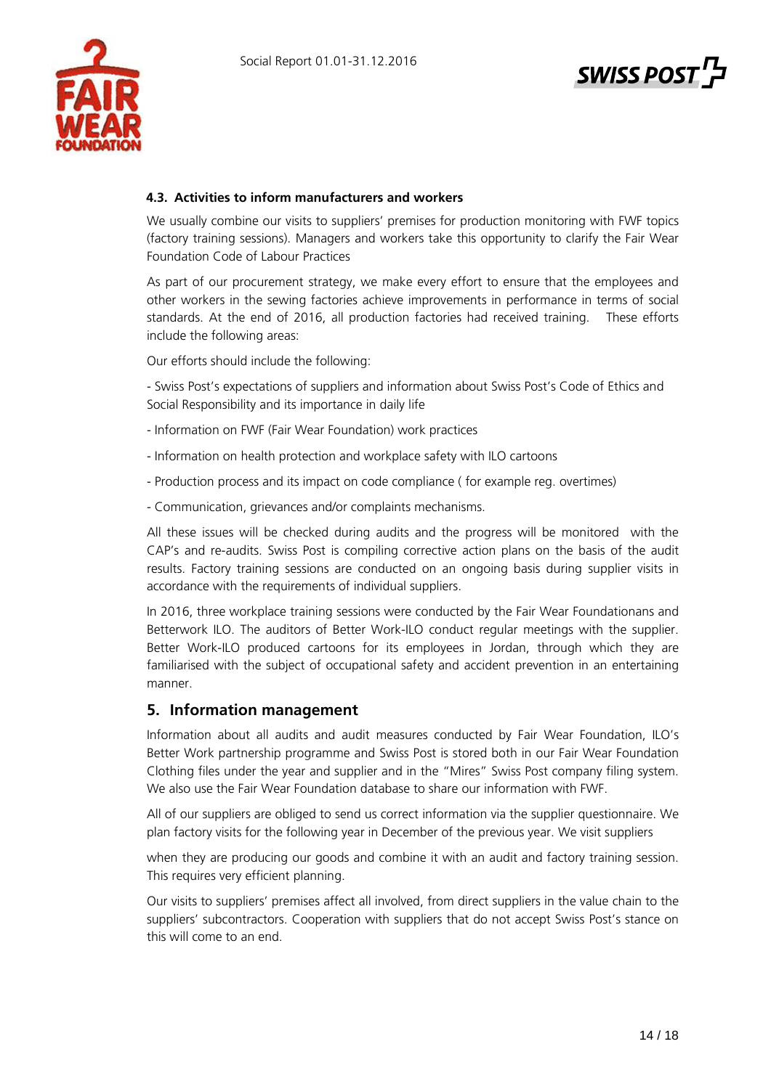



# **4.3. Activities to inform manufacturers and workers**

We usually combine our visits to suppliers' premises for production monitoring with FWF topics (factory training sessions). Managers and workers take this opportunity to clarify the Fair Wear Foundation Code of Labour Practices

As part of our procurement strategy, we make every effort to ensure that the employees and other workers in the sewing factories achieve improvements in performance in terms of social standards. At the end of 2016, all production factories had received training. These efforts include the following areas:

Our efforts should include the following:

- Swiss Post's expectations of suppliers and information about Swiss Post's Code of Ethics and Social Responsibility and its importance in daily life

- Information on FWF (Fair Wear Foundation) work practices
- Information on health protection and workplace safety with ILO cartoons
- Production process and its impact on code compliance ( for example reg. overtimes)
- Communication, grievances and/or complaints mechanisms.

All these issues will be checked during audits and the progress will be monitored with the CAP's and re-audits. Swiss Post is compiling corrective action plans on the basis of the audit results. Factory training sessions are conducted on an ongoing basis during supplier visits in accordance with the requirements of individual suppliers.

In 2016, three workplace training sessions were conducted by the Fair Wear Foundationans and Betterwork ILO. The auditors of Better Work-ILO conduct regular meetings with the supplier. Better Work-ILO produced cartoons for its employees in Jordan, through which they are familiarised with the subject of occupational safety and accident prevention in an entertaining manner.

# **5. Information management**

Information about all audits and audit measures conducted by Fair Wear Foundation, ILO's Better Work partnership programme and Swiss Post is stored both in our Fair Wear Foundation Clothing files under the year and supplier and in the "Mires" Swiss Post company filing system. We also use the Fair Wear Foundation database to share our information with FWF.

All of our suppliers are obliged to send us correct information via the supplier questionnaire. We plan factory visits for the following year in December of the previous year. We visit suppliers

when they are producing our goods and combine it with an audit and factory training session. This requires very efficient planning.

Our visits to suppliers' premises affect all involved, from direct suppliers in the value chain to the suppliers' subcontractors. Cooperation with suppliers that do not accept Swiss Post's stance on this will come to an end.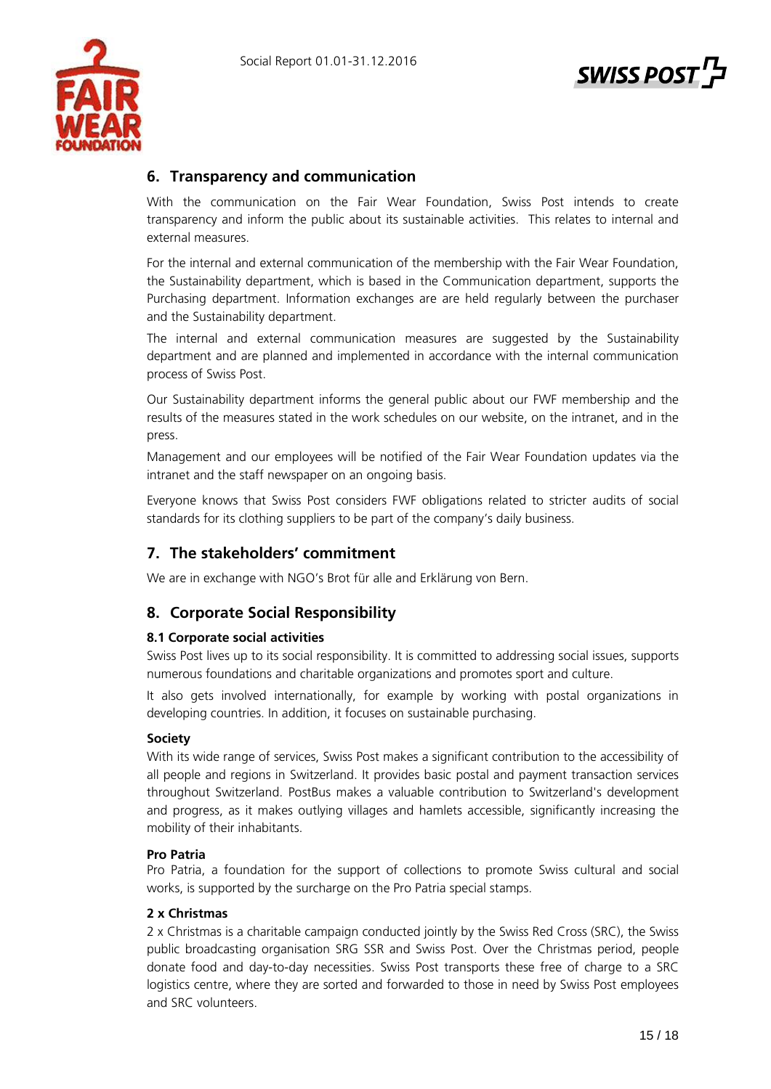

# **SWISS POST**

# **6. Transparency and communication**

With the communication on the Fair Wear Foundation, Swiss Post intends to create transparency and inform the public about its sustainable activities. This relates to internal and external measures.

For the internal and external communication of the membership with the Fair Wear Foundation, the Sustainability department, which is based in the Communication department, supports the Purchasing department. Information exchanges are are held regularly between the purchaser and the Sustainability department.

The internal and external communication measures are suggested by the Sustainability department and are planned and implemented in accordance with the internal communication process of Swiss Post.

Our Sustainability department informs the general public about our FWF membership and the results of the measures stated in the work schedules on our website, on the intranet, and in the press.

Management and our employees will be notified of the Fair Wear Foundation updates via the intranet and the staff newspaper on an ongoing basis.

Everyone knows that Swiss Post considers FWF obligations related to stricter audits of social standards for its clothing suppliers to be part of the company's daily business.

# **7. The stakeholders' commitment**

We are in exchange with NGO's Brot für alle and Erklärung von Bern.

# **8. Corporate Social Responsibility**

# **8.1 Corporate social activities**

Swiss Post lives up to its social responsibility. It is committed to addressing social issues, supports numerous foundations and charitable organizations and promotes sport and culture.

It also gets involved internationally, for example by working with postal organizations in developing countries. In addition, it focuses on sustainable purchasing.

# **Society**

With its wide range of services, Swiss Post makes a significant contribution to the accessibility of all people and regions in Switzerland. It provides basic postal and payment transaction services throughout Switzerland. PostBus makes a valuable contribution to Switzerland's development and progress, as it makes outlying villages and hamlets accessible, significantly increasing the mobility of their inhabitants.

# **Pro Patria**

Pro Patria, a foundation for the support of collections to promote Swiss cultural and social works, is supported by the surcharge on the Pro Patria special stamps.

# **2 x Christmas**

2 x Christmas is a charitable campaign conducted jointly by the Swiss Red Cross (SRC), the Swiss public broadcasting organisation SRG SSR and Swiss Post. Over the Christmas period, people donate food and day-to-day necessities. Swiss Post transports these free of charge to a SRC logistics centre, where they are sorted and forwarded to those in need by Swiss Post employees and SRC volunteers.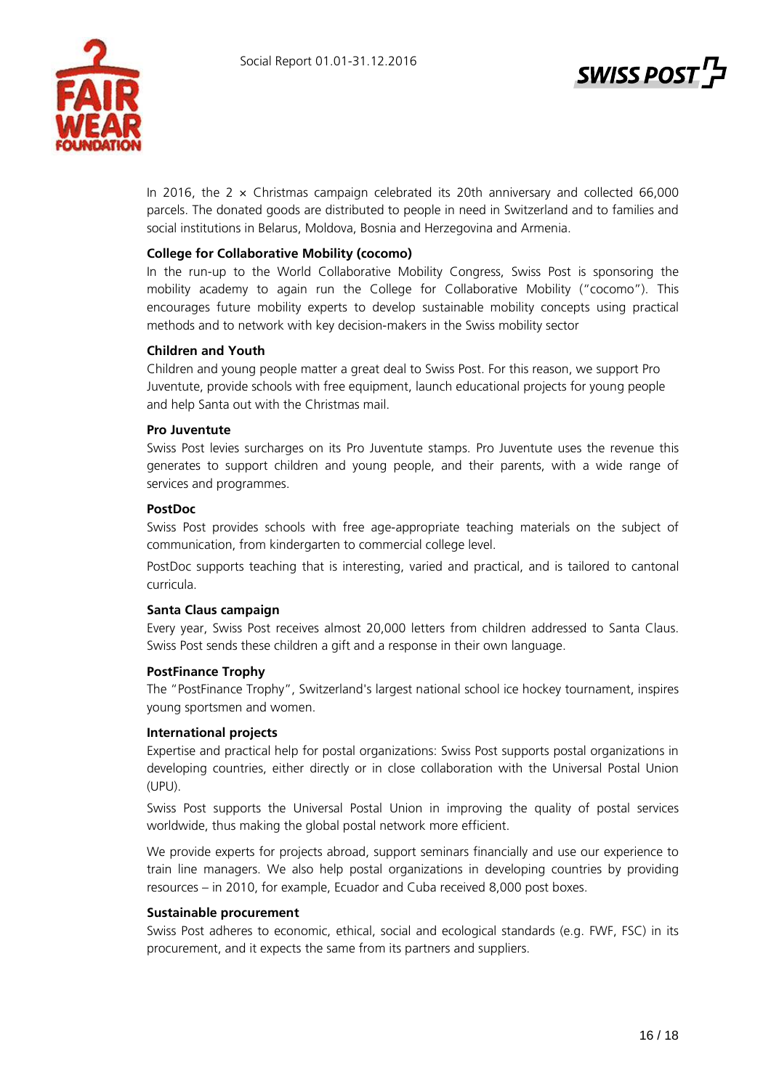

In 2016, the  $2 \times$  Christmas campaign celebrated its 20th anniversary and collected 66,000 parcels. The donated goods are distributed to people in need in Switzerland and to families and social institutions in Belarus, Moldova, Bosnia and Herzegovina and Armenia.

# **College for Collaborative Mobility (cocomo)**

In the run-up to the World Collaborative Mobility Congress, Swiss Post is sponsoring the mobility academy to again run the College for Collaborative Mobility ("cocomo"). This encourages future mobility experts to develop sustainable mobility concepts using practical methods and to network with key decision-makers in the Swiss mobility sector

# **Children and Youth**

Children and young people matter a great deal to Swiss Post. For this reason, we support Pro Juventute, provide schools with free equipment, launch educational projects for young people and help Santa out with the Christmas mail.

# **Pro Juventute**

Swiss Post levies surcharges on its Pro Juventute stamps. Pro Juventute uses the revenue this generates to support children and young people, and their parents, with a wide range of services and programmes.

# **PostDoc**

Swiss Post provides schools with free age-appropriate teaching materials on the subject of communication, from kindergarten to commercial college level.

PostDoc supports teaching that is interesting, varied and practical, and is tailored to cantonal curricula.

# **Santa Claus campaign**

Every year, Swiss Post receives almost 20,000 letters from children addressed to Santa Claus. Swiss Post sends these children a gift and a response in their own language.

# **PostFinance Trophy**

The "PostFinance Trophy", Switzerland's largest national school ice hockey tournament, inspires young sportsmen and women.

# **International projects**

Expertise and practical help for postal organizations: Swiss Post supports postal organizations in developing countries, either directly or in close collaboration with the Universal Postal Union (UPU).

Swiss Post supports the Universal Postal Union in improving the quality of postal services worldwide, thus making the global postal network more efficient.

We provide experts for projects abroad, support seminars financially and use our experience to train line managers. We also help postal organizations in developing countries by providing resources – in 2010, for example, Ecuador and Cuba received 8,000 post boxes.

# **Sustainable procurement**

Swiss Post adheres to economic, ethical, social and ecological standards (e.g. FWF, FSC) in its procurement, and it expects the same from its partners and suppliers.

**SWISS POS**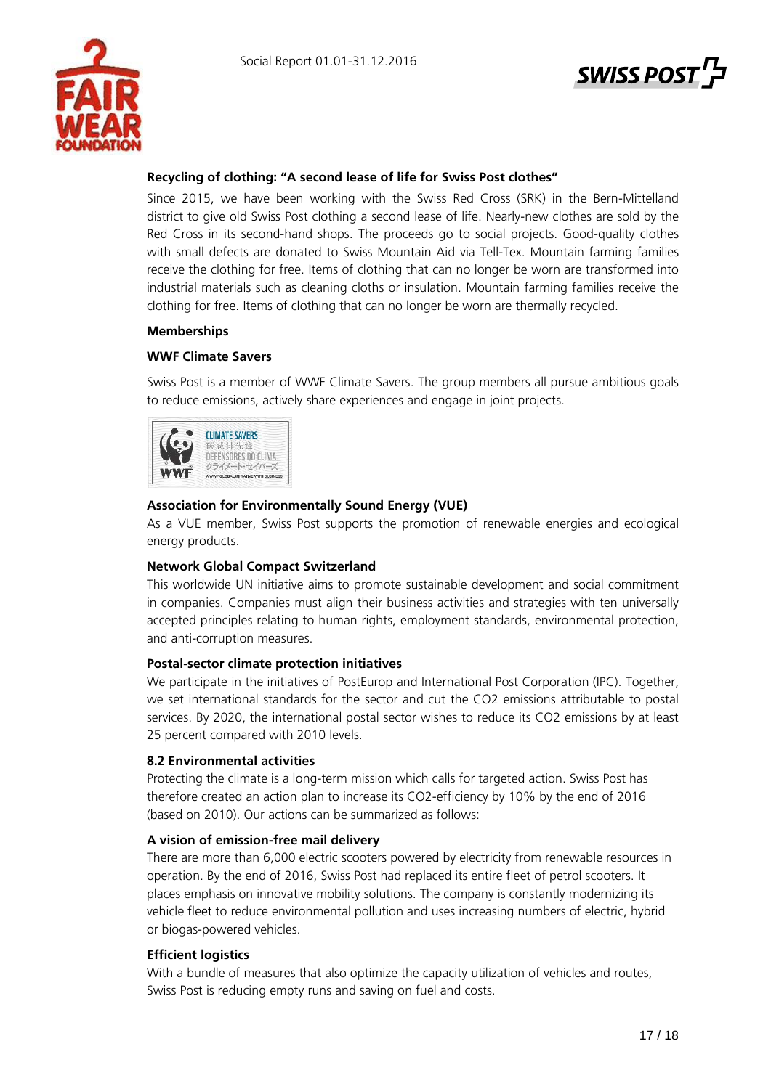

# **SWISS POS**

# **Recycling of clothing: "A second lease of life for Swiss Post clothes"**

Since 2015, we have been working with the Swiss Red Cross (SRK) in the Bern-Mittelland district to give old Swiss Post clothing a second lease of life. Nearly-new clothes are sold by the Red Cross in its second-hand shops. The proceeds go to social projects. Good-quality clothes with small defects are donated to Swiss Mountain Aid via Tell-Tex. Mountain farming families receive the clothing for free. Items of clothing that can no longer be worn are transformed into industrial materials such as cleaning cloths or insulation. Mountain farming families receive the clothing for free. Items of clothing that can no longer be worn are thermally recycled.

# **Memberships**

# **WWF Climate Savers**

Swiss Post is a member of WWF Climate Savers. The group members all pursue ambitious goals to reduce emissions, actively share experiences and engage in joint projects.



# **Association for Environmentally Sound Energy (VUE)**

As a VUE member, Swiss Post supports the promotion of renewable energies and ecological energy products.

# **Network Global Compact Switzerland**

This worldwide UN initiative aims to promote sustainable development and social commitment in companies. Companies must align their business activities and strategies with ten universally accepted principles relating to human rights, employment standards, environmental protection, and anti-corruption measures.

# **Postal-sector climate protection initiatives**

We participate in the initiatives of PostEurop and International Post Corporation (IPC). Together, we set international standards for the sector and cut the CO2 emissions attributable to postal services. By 2020, the international postal sector wishes to reduce its CO2 emissions by at least 25 percent compared with 2010 levels.

# **8.2 Environmental activities**

Protecting the climate is a long-term mission which calls for targeted action. Swiss Post has therefore created an action plan to increase its CO2-efficiency by 10% by the end of 2016 (based on 2010). Our actions can be summarized as follows:

# **A vision of emission-free mail delivery**

There are more than 6,000 electric scooters powered by electricity from renewable resources in operation. By the end of 2016, Swiss Post had replaced its entire fleet of petrol scooters. It places emphasis on innovative mobility solutions. The company is constantly modernizing its vehicle fleet to reduce environmental pollution and uses increasing numbers of electric, hybrid or biogas-powered vehicles.

# **Efficient logistics**

With a bundle of measures that also optimize the capacity utilization of vehicles and routes, Swiss Post is reducing empty runs and saving on fuel and costs.